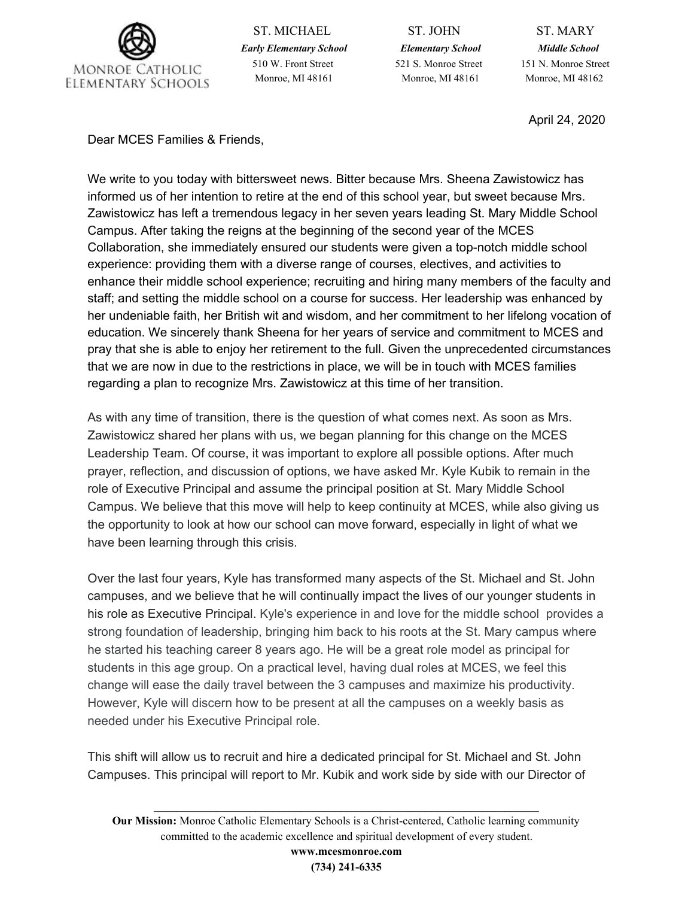

ST. MICHAEL ST. JOHN ST. MARY *Early Elementary School Elementary School Middle School* 510 W. Front Street 521 S. Monroe Street 151 N. Monroe Street Monroe, MI 48161 Monroe, MI 48161 Monroe, MI 48162

April 24, 2020

Dear MCES Families & Friends,

We write to you today with bittersweet news. Bitter because Mrs. Sheena Zawistowicz has informed us of her intention to retire at the end of this school year, but sweet because Mrs. Zawistowicz has left a tremendous legacy in her seven years leading St. Mary Middle School Campus. After taking the reigns at the beginning of the second year of the MCES Collaboration, she immediately ensured our students were given a top-notch middle school experience: providing them with a diverse range of courses, electives, and activities to enhance their middle school experience; recruiting and hiring many members of the faculty and staff; and setting the middle school on a course for success. Her leadership was enhanced by her undeniable faith, her British wit and wisdom, and her commitment to her lifelong vocation of education. We sincerely thank Sheena for her years of service and commitment to MCES and pray that she is able to enjoy her retirement to the full. Given the unprecedented circumstances that we are now in due to the restrictions in place, we will be in touch with MCES families regarding a plan to recognize Mrs. Zawistowicz at this time of her transition.

As with any time of transition, there is the question of what comes next. As soon as Mrs. Zawistowicz shared her plans with us, we began planning for this change on the MCES Leadership Team. Of course, it was important to explore all possible options. After much prayer, reflection, and discussion of options, we have asked Mr. Kyle Kubik to remain in the role of Executive Principal and assume the principal position at St. Mary Middle School Campus. We believe that this move will help to keep continuity at MCES, while also giving us the opportunity to look at how our school can move forward, especially in light of what we have been learning through this crisis.

Over the last four years, Kyle has transformed many aspects of the St. Michael and St. John campuses, and we believe that he will continually impact the lives of our younger students in his role as Executive Principal. Kyle's experience in and love for the middle school provides a strong foundation of leadership, bringing him back to his roots at the St. Mary campus where he started his teaching career 8 years ago. He will be a great role model as principal for students in this age group. On a practical level, having dual roles at MCES, we feel this change will ease the daily travel between the 3 campuses and maximize his productivity. However, Kyle will discern how to be present at all the campuses on a weekly basis as needed under his Executive Principal role.

This shift will allow us to recruit and hire a dedicated principal for St. Michael and St. John Campuses. This principal will report to Mr. Kubik and work side by side with our Director of

**Our Mission:** Monroe Catholic Elementary Schools is a Christ-centered, Catholic learning community committed to the academic excellence and spiritual development of every student.

 $\mathcal{L}_\mathcal{L} = \mathcal{L}_\mathcal{L} = \mathcal{L}_\mathcal{L} = \mathcal{L}_\mathcal{L} = \mathcal{L}_\mathcal{L} = \mathcal{L}_\mathcal{L} = \mathcal{L}_\mathcal{L} = \mathcal{L}_\mathcal{L} = \mathcal{L}_\mathcal{L} = \mathcal{L}_\mathcal{L} = \mathcal{L}_\mathcal{L} = \mathcal{L}_\mathcal{L} = \mathcal{L}_\mathcal{L} = \mathcal{L}_\mathcal{L} = \mathcal{L}_\mathcal{L} = \mathcal{L}_\mathcal{L} = \mathcal{L}_\mathcal{L}$ 

**www.mcesmonroe.com (734) 241-6335**